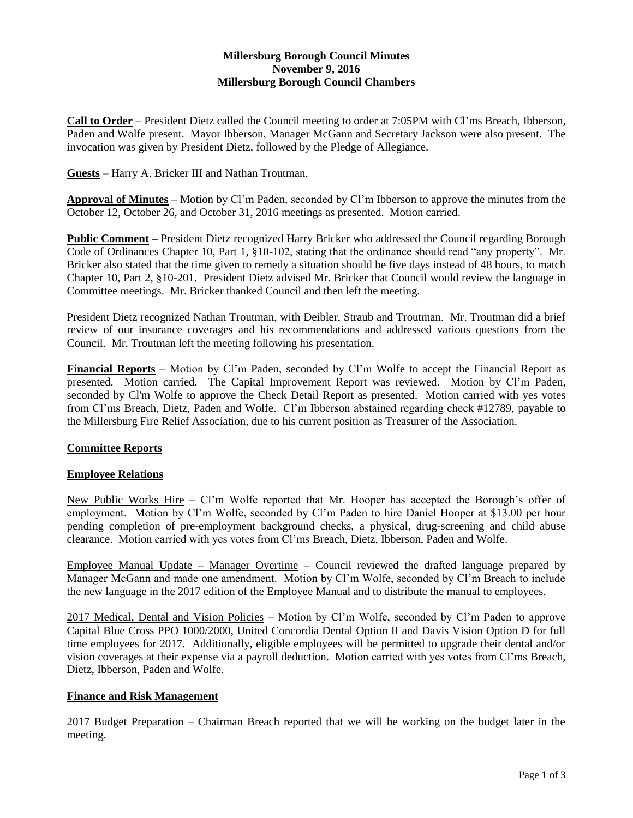# **Millersburg Borough Council Minutes November 9, 2016 Millersburg Borough Council Chambers**

**Call to Order** – President Dietz called the Council meeting to order at 7:05PM with Cl'ms Breach, Ibberson, Paden and Wolfe present. Mayor Ibberson, Manager McGann and Secretary Jackson were also present. The invocation was given by President Dietz, followed by the Pledge of Allegiance.

**Guests** – Harry A. Bricker III and Nathan Troutman.

**Approval of Minutes** – Motion by Cl'm Paden, seconded by Cl'm Ibberson to approve the minutes from the October 12, October 26, and October 31, 2016 meetings as presented. Motion carried.

**Public Comment –** President Dietz recognized Harry Bricker who addressed the Council regarding Borough Code of Ordinances Chapter 10, Part 1, §10-102, stating that the ordinance should read "any property". Mr. Bricker also stated that the time given to remedy a situation should be five days instead of 48 hours, to match Chapter 10, Part 2, §10-201. President Dietz advised Mr. Bricker that Council would review the language in Committee meetings. Mr. Bricker thanked Council and then left the meeting.

President Dietz recognized Nathan Troutman, with Deibler, Straub and Troutman. Mr. Troutman did a brief review of our insurance coverages and his recommendations and addressed various questions from the Council. Mr. Troutman left the meeting following his presentation.

**Financial Reports** – Motion by Cl'm Paden, seconded by Cl'm Wolfe to accept the Financial Report as presented. Motion carried. The Capital Improvement Report was reviewed. Motion by Cl'm Paden, seconded by Cl'm Wolfe to approve the Check Detail Report as presented. Motion carried with yes votes from Cl'ms Breach, Dietz, Paden and Wolfe. Cl'm Ibberson abstained regarding check #12789, payable to the Millersburg Fire Relief Association, due to his current position as Treasurer of the Association.

## **Committee Reports**

## **Employee Relations**

New Public Works Hire - Cl'm Wolfe reported that Mr. Hooper has accepted the Borough's offer of employment. Motion by Cl'm Wolfe, seconded by Cl'm Paden to hire Daniel Hooper at \$13.00 per hour pending completion of pre-employment background checks, a physical, drug-screening and child abuse clearance. Motion carried with yes votes from Cl'ms Breach, Dietz, Ibberson, Paden and Wolfe.

Employee Manual Update – Manager Overtime – Council reviewed the drafted language prepared by Manager McGann and made one amendment. Motion by Cl'm Wolfe, seconded by Cl'm Breach to include the new language in the 2017 edition of the Employee Manual and to distribute the manual to employees.

2017 Medical, Dental and Vision Policies – Motion by Cl'm Wolfe, seconded by Cl'm Paden to approve Capital Blue Cross PPO 1000/2000, United Concordia Dental Option II and Davis Vision Option D for full time employees for 2017. Additionally, eligible employees will be permitted to upgrade their dental and/or vision coverages at their expense via a payroll deduction. Motion carried with yes votes from Cl'ms Breach, Dietz, Ibberson, Paden and Wolfe.

## **Finance and Risk Management**

2017 Budget Preparation – Chairman Breach reported that we will be working on the budget later in the meeting.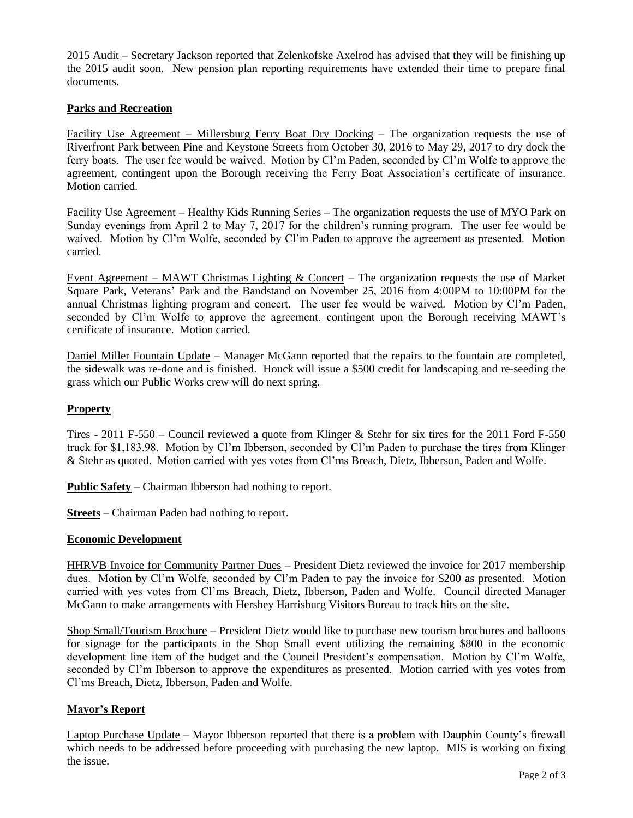2015 Audit – Secretary Jackson reported that Zelenkofske Axelrod has advised that they will be finishing up the 2015 audit soon. New pension plan reporting requirements have extended their time to prepare final documents.

# **Parks and Recreation**

Facility Use Agreement – Millersburg Ferry Boat Dry Docking – The organization requests the use of Riverfront Park between Pine and Keystone Streets from October 30, 2016 to May 29, 2017 to dry dock the ferry boats. The user fee would be waived. Motion by Cl'm Paden, seconded by Cl'm Wolfe to approve the agreement, contingent upon the Borough receiving the Ferry Boat Association's certificate of insurance. Motion carried.

Facility Use Agreement – Healthy Kids Running Series – The organization requests the use of MYO Park on Sunday evenings from April 2 to May 7, 2017 for the children's running program. The user fee would be waived. Motion by Cl'm Wolfe, seconded by Cl'm Paden to approve the agreement as presented. Motion carried.

Event Agreement – MAWT Christmas Lighting  $&$  Concert – The organization requests the use of Market Square Park, Veterans' Park and the Bandstand on November 25, 2016 from 4:00PM to 10:00PM for the annual Christmas lighting program and concert. The user fee would be waived. Motion by Cl'm Paden, seconded by Cl'm Wolfe to approve the agreement, contingent upon the Borough receiving MAWT's certificate of insurance. Motion carried.

Daniel Miller Fountain Update – Manager McGann reported that the repairs to the fountain are completed, the sidewalk was re-done and is finished. Houck will issue a \$500 credit for landscaping and re-seeding the grass which our Public Works crew will do next spring.

## **Property**

Tires - 2011 F-550 – Council reviewed a quote from Klinger & Stehr for six tires for the 2011 Ford F-550 truck for \$1,183.98. Motion by Cl'm Ibberson, seconded by Cl'm Paden to purchase the tires from Klinger & Stehr as quoted. Motion carried with yes votes from Cl'ms Breach, Dietz, Ibberson, Paden and Wolfe.

**Public Safety –** Chairman Ibberson had nothing to report.

**Streets –** Chairman Paden had nothing to report.

## **Economic Development**

HHRVB Invoice for Community Partner Dues – President Dietz reviewed the invoice for 2017 membership dues. Motion by Cl'm Wolfe, seconded by Cl'm Paden to pay the invoice for \$200 as presented. Motion carried with yes votes from Cl'ms Breach, Dietz, Ibberson, Paden and Wolfe. Council directed Manager McGann to make arrangements with Hershey Harrisburg Visitors Bureau to track hits on the site.

Shop Small/Tourism Brochure – President Dietz would like to purchase new tourism brochures and balloons for signage for the participants in the Shop Small event utilizing the remaining \$800 in the economic development line item of the budget and the Council President's compensation. Motion by Cl'm Wolfe, seconded by Cl'm Ibberson to approve the expenditures as presented. Motion carried with yes votes from Cl'ms Breach, Dietz, Ibberson, Paden and Wolfe.

## **Mayor's Report**

Laptop Purchase Update – Mayor Ibberson reported that there is a problem with Dauphin County's firewall which needs to be addressed before proceeding with purchasing the new laptop. MIS is working on fixing the issue.